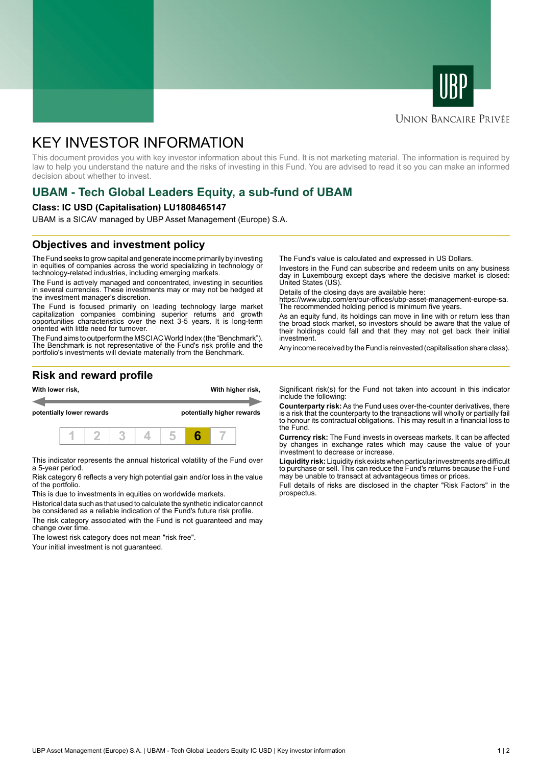



### **UNION BANCAIRE PRIVÉE**

# KEY INVESTOR INFORMATION

This document provides you with key investor information about this Fund. It is not marketing material. The information is required by law to help you understand the nature and the risks of investing in this Fund. You are advised to read it so you can make an informed decision about whether to invest.

# **UBAM - Tech Global Leaders Equity, a sub-fund of UBAM**

#### **Class: IC USD (Capitalisation) LU1808465147**

UBAM is a SICAV managed by UBP Asset Management (Europe) S.A.

# **Objectives and investment policy**

The Fund seeks to grow capital and generate income primarily by investing in equities of companies across the world specializing in technology or technology-related industries, including emerging markets.

The Fund is actively managed and concentrated, investing in securities in several currencies. These investments may or may not be hedged at the investment manager's discretion.

The Fund is focused primarily on leading technology large market capitalization companies combining superior returns and growth opportunities characteristics over the next 3-5 years. It is long-term oriented with little need for turnover.

The Fund aims to outperform the MSCI AC World Index (the "Benchmark"). The Benchmark is not representative of the Fund's risk profile and the portfolio's investments will deviate materially from the Benchmark.

The Fund's value is calculated and expressed in US Dollars.

Investors in the Fund can subscribe and redeem units on any business day in Luxembourg except days where the decisive market is closed: United States (US).

Details of the closing days are available here:

https://www.ubp.com/en/our-offices/ubp-asset-management-europe-sa. The recommended holding period is minimum five years.

As an equity fund, its holdings can move in line with or return less than the broad stock market, so investors should be aware that the value of their holdings could fall and that they may not get back their initial investment.

Any income received by the Fund is reinvested (capitalisation share class).

# **Risk and reward profile**



This indicator represents the annual historical volatility of the Fund over a 5-year period.

Risk category 6 reflects a very high potential gain and/or loss in the value of the portfolio.

This is due to investments in equities on worldwide markets.

Historical data such as that used to calculate the synthetic indicator cannot be considered as a reliable indication of the Fund's future risk profile.

The risk category associated with the Fund is not guaranteed and may change over time.

The lowest risk category does not mean "risk free".

Your initial investment is not guaranteed.

Significant risk(s) for the Fund not taken into account in this indicator include the following:

**Counterparty risk:** As the Fund uses over-the-counter derivatives, there is a risk that the counterparty to the transactions will wholly or partially fail to honour its contractual obligations. This may result in a financial loss to the Fund.

**Currency risk:** The Fund invests in overseas markets. It can be affected by changes in exchange rates which may cause the value of your investment to decrease or increase.

**Liquidity risk:** Liquidity risk exists when particular investments are difficult to purchase or sell. This can reduce the Fund's returns because the Fund may be unable to transact at advantageous times or prices.

Full details of risks are disclosed in the chapter "Risk Factors" in the prospectus.